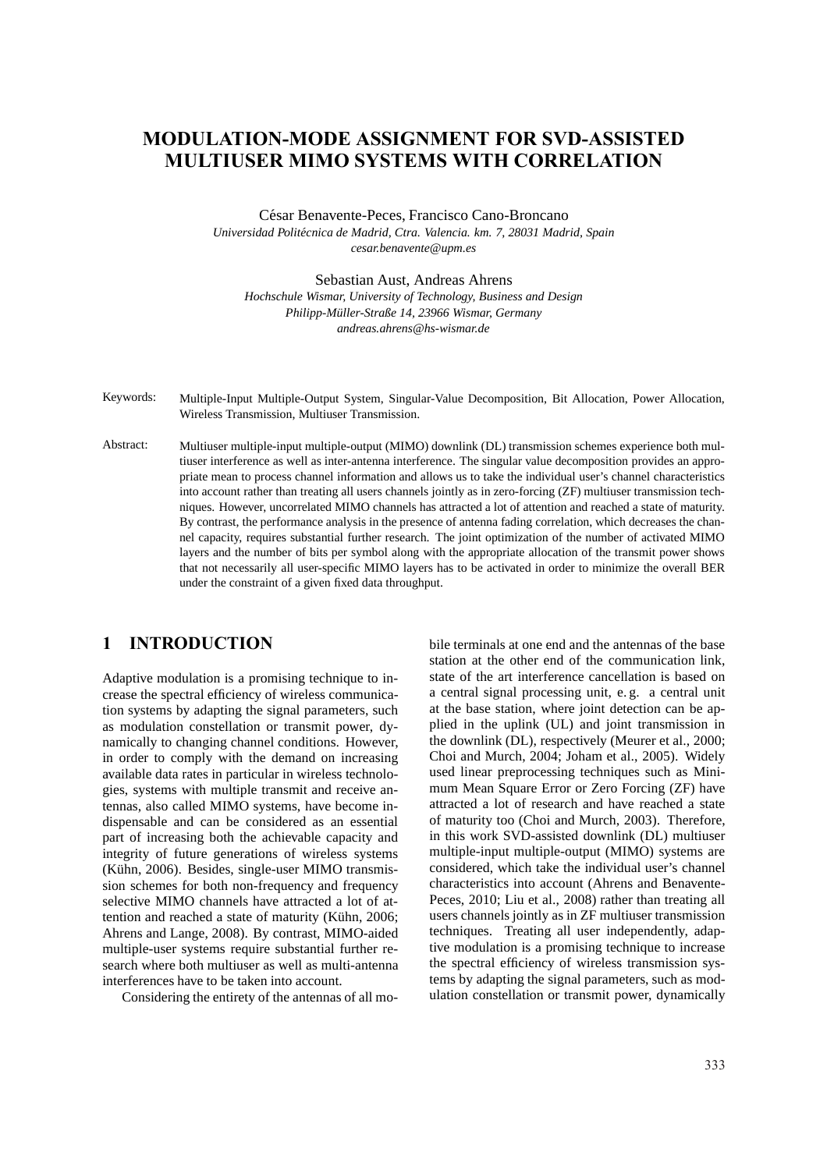# **MODULATION-MODE ASSIGNMENT FOR SVD-ASSISTED MULTIUSER MIMO SYSTEMS WITH CORRELATION**

César Benavente-Peces, Francisco Cano-Broncano

*Universidad Polit´ecnica de Madrid, Ctra. Valencia. km. 7, 28031 Madrid, Spain cesar.benavente@upm.es*

Sebastian Aust, Andreas Ahrens

*Hochschule Wismar, University of Technology, Business and Design Philipp-M¨uller-Straße 14, 23966 Wismar, Germany andreas.ahrens@hs-wismar.de*

Keywords: Multiple-Input Multiple-Output System, Singular-Value Decomposition, Bit Allocation, Power Allocation, Wireless Transmission, Multiuser Transmission.

Abstract: Multiuser multiple-input multiple-output (MIMO) downlink (DL) transmission schemes experience both multiuser interference as well as inter-antenna interference. The singular value decomposition provides an appropriate mean to process channel information and allows us to take the individual user's channel characteristics into account rather than treating all users channels jointly as in zero-forcing (ZF) multiuser transmission techniques. However, uncorrelated MIMO channels has attracted a lot of attention and reached a state of maturity. By contrast, the performance analysis in the presence of antenna fading correlation, which decreases the channel capacity, requires substantial further research. The joint optimization of the number of activated MIMO layers and the number of bits per symbol along with the appropriate allocation of the transmit power shows that not necessarily all user-specific MIMO layers has to be activated in order to minimize the overall BER under the constraint of a given fixed data throughput.

# **1 INTRODUCTION**

Adaptive modulation is a promising technique to increase the spectral efficiency of wireless communication systems by adapting the signal parameters, such as modulation constellation or transmit power, dynamically to changing channel conditions. However, in order to comply with the demand on increasing available data rates in particular in wireless technologies, systems with multiple transmit and receive antennas, also called MIMO systems, have become indispensable and can be considered as an essential part of increasing both the achievable capacity and integrity of future generations of wireless systems (Kühn, 2006). Besides, single-user MIMO transmission schemes for both non-frequency and frequency selective MIMO channels have attracted a lot of attention and reached a state of maturity (Kühn, 2006; Ahrens and Lange, 2008). By contrast, MIMO-aided multiple-user systems require substantial further research where both multiuser as well as multi-antenna interferences have to be taken into account.

Considering the entirety of the antennas of all mo-

bile terminals at one end and the antennas of the base station at the other end of the communication link, state of the art interference cancellation is based on a central signal processing unit, e. g. a central unit at the base station, where joint detection can be applied in the uplink (UL) and joint transmission in the downlink (DL), respectively (Meurer et al., 2000; Choi and Murch, 2004; Joham et al., 2005). Widely used linear preprocessing techniques such as Minimum Mean Square Error or Zero Forcing (ZF) have attracted a lot of research and have reached a state of maturity too (Choi and Murch, 2003). Therefore, in this work SVD-assisted downlink (DL) multiuser multiple-input multiple-output (MIMO) systems are considered, which take the individual user's channel characteristics into account (Ahrens and Benavente-Peces, 2010; Liu et al., 2008) rather than treating all users channels jointly as in ZF multiuser transmission techniques. Treating all user independently, adaptive modulation is a promising technique to increase the spectral efficiency of wireless transmission systems by adapting the signal parameters, such as modulation constellation or transmit power, dynamically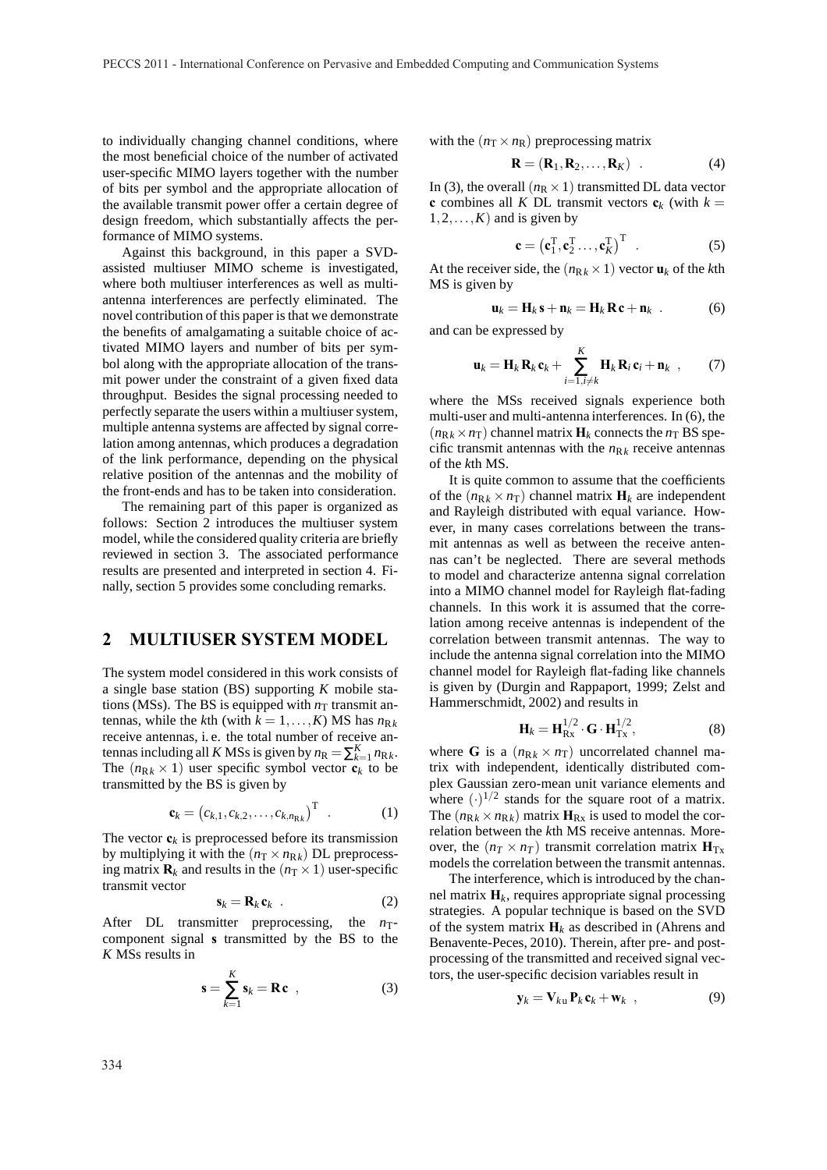to individually changing channel conditions, where the most beneficial choice of the number of activated user-specific MIMO layers together with the number of bits per symbol and the appropriate allocation of the available transmit power offer a certain degree of design freedom, which substantially affects the performance of MIMO systems.

Against this background, in this paper a SVDassisted multiuser MIMO scheme is investigated, where both multiuser interferences as well as multiantenna interferences are perfectly eliminated. The novel contribution of this paper is that we demonstrate the benefits of amalgamating a suitable choice of activated MIMO layers and number of bits per symbol along with the appropriate allocation of the transmit power under the constraint of a given fixed data throughput. Besides the signal processing needed to perfectly separate the users within a multiuser system, multiple antenna systems are affected by signal correlation among antennas, which produces a degradation of the link performance, depending on the physical relative position of the antennas and the mobility of the front-ends and has to be taken into consideration.

The remaining part of this paper is organized as follows: Section 2 introduces the multiuser system model, while the considered quality criteria are briefly reviewed in section 3. The associated performance results are presented and interpreted in section 4. Finally, section 5 provides some concluding remarks.

## **2 MULTIUSER SYSTEM MODEL**

The system model considered in this work consists of a single base station (BS) supporting *K* mobile stations (MSs). The BS is equipped with  $n<sub>T</sub>$  transmit antennas, while the *k*th (with  $k = 1, ..., K$ ) MS has  $n_{Rk}$ receive antennas, i. e. the total number of receive antennas including all *K* MSs is given by  $n_R = \sum_{k=1}^{K} n_{Rk}$ . The  $(n_{Rk} \times 1)$  user specific symbol vector  $c_k$  to be transmitted by the BS is given by

$$
\mathbf{c}_k = \begin{pmatrix} c_{k,1}, c_{k,2}, \dots, c_{k,n_{\mathbb{R}k}} \end{pmatrix}^\mathrm{T} . \tag{1}
$$

The vector  $\mathbf{c}_k$  is preprocessed before its transmission by multiplying it with the  $(n<sub>T</sub> \times n<sub>Rk</sub>)$  DL preprocessing matrix  $\mathbf{R}_k$  and results in the  $(n<sub>T</sub> \times 1)$  user-specific transmit vector

$$
\mathbf{s}_k = \mathbf{R}_k \, \mathbf{c}_k \quad . \tag{2}
$$

After DL transmitter preprocessing, the  $n_T$ component signal **s** transmitted by the BS to the *K* MSs results in

$$
\mathbf{s} = \sum_{k=1}^{K} \mathbf{s}_k = \mathbf{R} \mathbf{c} \quad , \tag{3}
$$

with the  $(n<sub>T</sub> \times n<sub>R</sub>)$  preprocessing matrix

$$
\mathbf{R} = (\mathbf{R}_1, \mathbf{R}_2, \dots, \mathbf{R}_K) \quad . \tag{4}
$$

In (3), the overall  $(n_R \times 1)$  transmitted DL data vector **c** combines all *K* DL transmit vectors  $c_k$  (with  $k =$  $1, 2, \ldots, K$  and is given by

$$
\mathbf{c} = \left(\mathbf{c}_1^{\mathrm{T}}, \mathbf{c}_2^{\mathrm{T}} \dots, \mathbf{c}_K^{\mathrm{T}}\right)^{\mathrm{T}} \quad . \tag{5}
$$

At the receiver side, the  $(n_{Rk} \times 1)$  vector  $\mathbf{u}_k$  of the *k*th MS is given by

$$
\mathbf{u}_k = \mathbf{H}_k \mathbf{s} + \mathbf{n}_k = \mathbf{H}_k \, \mathbf{R} \, \mathbf{c} + \mathbf{n}_k \quad . \tag{6}
$$

and can be expressed by

$$
\mathbf{u}_k = \mathbf{H}_k \, \mathbf{R}_k \, \mathbf{c}_k + \sum_{i=1, i \neq k}^K \mathbf{H}_k \, \mathbf{R}_i \, \mathbf{c}_i + \mathbf{n}_k \quad , \tag{7}
$$

where the MSs received signals experience both multi-user and multi-antenna interferences. In (6), the  $(n_{\text{R}_k} \times n_{\text{T}})$  channel matrix  $\mathbf{H}_k$  connects the  $n_{\text{T}}$  BS specific transmit antennas with the  $n_{Rk}$  receive antennas of the *k*th MS.

It is quite common to assume that the coefficients of the  $(n_{Rk} \times n_T)$  channel matrix  $H_k$  are independent and Rayleigh distributed with equal variance. However, in many cases correlations between the transmit antennas as well as between the receive antennas can't be neglected. There are several methods to model and characterize antenna signal correlation into a MIMO channel model for Rayleigh flat-fading channels. In this work it is assumed that the correlation among receive antennas is independent of the correlation between transmit antennas. The way to include the antenna signal correlation into the MIMO channel model for Rayleigh flat-fading like channels is given by (Durgin and Rappaport, 1999; Zelst and Hammerschmidt, 2002) and results in

$$
\mathbf{H}_{k} = \mathbf{H}_{\text{Rx}}^{1/2} \cdot \mathbf{G} \cdot \mathbf{H}_{\text{Tx}}^{1/2},\tag{8}
$$

where **G** is a  $(n_{\text{R}_k} \times n_{\text{T}})$  uncorrelated channel matrix with independent, identically distributed complex Gaussian zero-mean unit variance elements and where  $(\cdot)^{1/2}$  stands for the square root of a matrix. The  $(n_{Rk} \times n_{Rk})$  matrix  $H_{Rx}$  is used to model the correlation between the *k*th MS receive antennas. Moreover, the  $(n_T \times n_T)$  transmit correlation matrix  $H_{Tx}$ models the correlation between the transmit antennas.

The interference, which is introduced by the channel matrix  $H_k$ , requires appropriate signal processing strategies. A popular technique is based on the SVD of the system matrix  $H_k$  as described in (Ahrens and Benavente-Peces, 2010). Therein, after pre- and postprocessing of the transmitted and received signal vectors, the user-specific decision variables result in

$$
\mathbf{y}_k = \mathbf{V}_{k\mathbf{u}} \, \mathbf{P}_k \, \mathbf{c}_k + \mathbf{w}_k \quad , \tag{9}
$$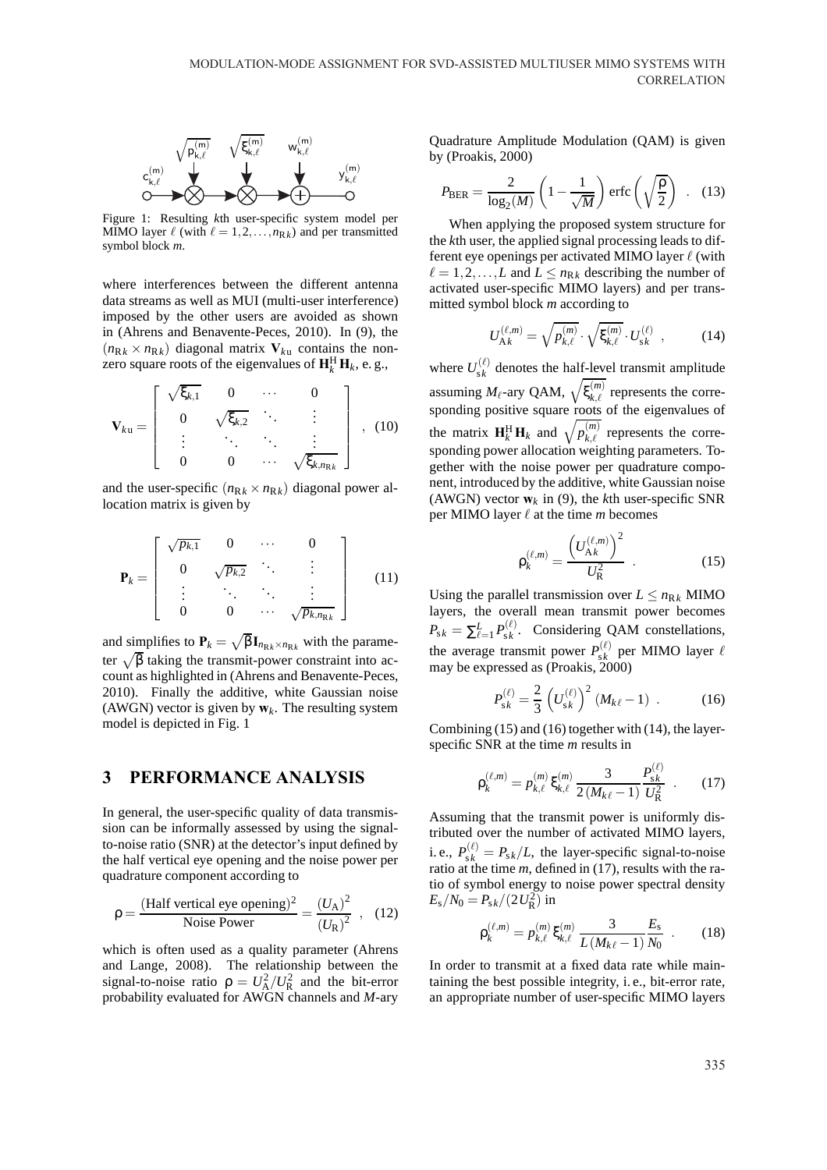

Figure 1: Resulting *k*th user-specific system model per MIMO layer  $\ell$  (with  $\ell = 1, 2, ..., n_{Rk}$ ) and per transmitted symbol block *m*.

where interferences between the different antenna data streams as well as MUI (multi-user interference) imposed by the other users are avoided as shown in (Ahrens and Benavente-Peces, 2010). In (9), the  $(n_{\text{R}_k} \times n_{\text{R}_k})$  diagonal matrix  $V_{ku}$  contains the nonzero square roots of the eigenvalues of  $\mathbf{H}_k^H \mathbf{H}_k$ , e.g.,

$$
\mathbf{V}_{ku} = \left[ \begin{array}{cccc} \sqrt{\xi_{k,1}} & 0 & \cdots & 0 \\ 0 & \sqrt{\xi_{k,2}} & \ddots & \vdots \\ \vdots & \ddots & \ddots & \vdots \\ 0 & 0 & \cdots & \sqrt{\xi_{k,n_{\mathrm{R}}} } \end{array} \right], \quad (10)
$$

and the user-specific  $(n_{Rk} \times n_{Rk})$  diagonal power allocation matrix is given by

$$
\mathbf{P}_{k} = \left[ \begin{array}{cccc} \sqrt{p_{k,1}} & 0 & \cdots & 0 \\ 0 & \sqrt{p_{k,2}} & \ddots & \vdots \\ \vdots & \ddots & \ddots & \vdots \\ 0 & 0 & \cdots & \sqrt{p_{k,n_{\mathrm{R}}} } \end{array} \right] \tag{11}
$$

and simplifies to  $P_k = \sqrt{\beta} I_{n_{Rk} \times n_{Rk}}$  with the parameter  $\sqrt{\beta}$  taking the transmit-power constraint into account as highlighted in (Ahrens and Benavente-Peces, 2010). Finally the additive, white Gaussian noise (AWGN) vector is given by  $w_k$ . The resulting system model is depicted in Fig. 1

#### **3 PERFORMANCE ANALYSIS**

In general, the user-specific quality of data transmission can be informally assessed by using the signalto-noise ratio (SNR) at the detector's input defined by the half vertical eye opening and the noise power per quadrature component according to

$$
\rho = \frac{\text{(Half vertical eye opening)}^2}{\text{Noise Power}} = \frac{(U_A)^2}{(U_R)^2} \quad , \quad (12)
$$

which is often used as a quality parameter (Ahrens and Lange, 2008). The relationship between the signal-to-noise ratio  $\rho = U_A^2/U_R^2$  and the bit-error probability evaluated for AWGN channels and *M*-ary

Quadrature Amplitude Modulation (QAM) is given by (Proakis, 2000)

$$
P_{\text{BER}} = \frac{2}{\log_2(M)} \left( 1 - \frac{1}{\sqrt{M}} \right) \text{erfc}\left(\sqrt{\frac{\rho}{2}}\right) \quad . \quad (13)
$$

When applying the proposed system structure for the *k*th user, the applied signal processing leads to different eye openings per activated MIMO layer  $\ell$  (with  $\ell = 1, 2, \ldots, L$  and  $L \leq n_{Rk}$  describing the number of activated user-specific MIMO layers) and per transmitted symbol block *m* according to

$$
U_{\mathbf{A}k}^{(\ell,m)} = \sqrt{p_{k,\ell}^{(m)}} \cdot \sqrt{\xi_{k,\ell}^{(m)}} \cdot U_{\mathbf{s}k}^{(\ell)} , \qquad (14)
$$

where  $U_{s k}^{(\ell)}$  $s_k^{(k)}$  denotes the half-level transmit amplitude assuming  $M_{\ell}$ -ary QAM,  $\sqrt{\xi_{k,\ell}^{(m)}}$  represents the corresponding positive square roots of the eigenvalues of the matrix  $\mathbf{H}_k^H \mathbf{H}_k$  and  $\sqrt{p_{k,\ell}^{(m)}}$  represents the corresponding power allocation weighting parameters. Together with the noise power per quadrature component, introduced by the additive, white Gaussian noise (AWGN) vector  $w_k$  in (9), the *k*th user-specific SNR per MIMO layer  $\ell$  at the time *m* becomes

$$
\rho_k^{(\ell,m)} = \frac{\left(U_{\mathbf{A}k}^{(\ell,m)}\right)^2}{U_{\mathbf{R}}^2} \quad . \tag{15}
$$

Using the parallel transmission over  $L \le n_{Rk}$  MIMO layers, the overall mean transmit power becomes  $P_{\mathrm{s}k} = \sum_{\ell=1}^L P_{\mathrm{s}k}^{(\ell)}$  $s_k^{(k)}$ . Considering QAM constellations, the average transmit power  $P_{s_k}^{(\ell)}$  $\int_{s,k}^{(\ell)}$  per MIMO layer  $\ell$ may be expressed as (Proakis, 2000)

$$
P_{sk}^{(\ell)} = \frac{2}{3} \left( U_{sk}^{(\ell)} \right)^2 (M_{k\ell} - 1) \quad . \tag{16}
$$

Combining (15) and (16) together with (14), the layerspecific SNR at the time *m* results in

$$
\rho_k^{(\ell,m)} = p_{k,\ell}^{(m)} \xi_{k,\ell}^{(m)} \frac{3}{2(M_{k\ell}-1)} \frac{P_{sk}^{(\ell)}}{U_R^2} \ . \tag{17}
$$

Assuming that the transmit power is uniformly distributed over the number of activated MIMO layers, i. e.,  $P_{sk}^{(\ell)} = P_{sk}/L$ , the layer-specific signal-to-noise ratio at the time *m*, defined in (17), results with the ratio of symbol energy to noise power spectral density  $E_{\rm s}/N_0 = P_{\rm s\it k}/(2\,U_{\rm R}^2)$  in

$$
\rho_k^{(\ell,m)} = p_{k,\ell}^{(m)} \xi_{k,\ell}^{(m)} \frac{3}{L(M_{k\ell} - 1)} \frac{E_s}{N_0} \quad . \tag{18}
$$

In order to transmit at a fixed data rate while maintaining the best possible integrity, i. e., bit-error rate, an appropriate number of user-specific MIMO layers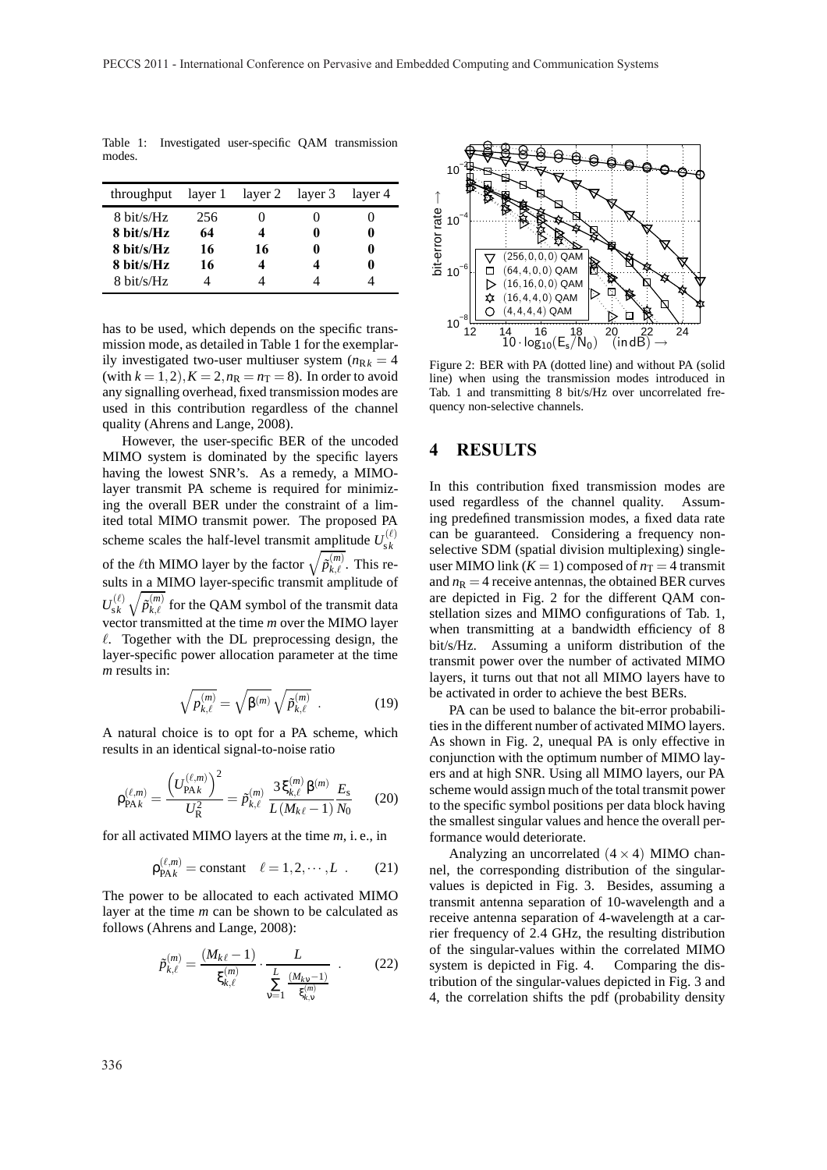| throughput           | layer 1 | layer 2 layer 3 | layer 4 |
|----------------------|---------|-----------------|---------|
| 8 bit/s/Hz           | 256     |                 |         |
| $8 \text{ bit/s/Hz}$ | 64      |                 |         |
| $8 \text{ bit/s/Hz}$ | 16      | 16              |         |
| 8 bit/s/Hz           | 16      |                 |         |
| 8 bit/s/Hz           |         |                 |         |

Table 1: Investigated user-specific QAM transmission modes.

has to be used, which depends on the specific transmission mode, as detailed in Table 1 for the exemplarily investigated two-user multiuser system  $(n_{Rk} = 4)$ (with  $k = 1, 2$ ),  $K = 2, n_R = n_T = 8$ ). In order to avoid any signalling overhead, fixed transmission modes are used in this contribution regardless of the channel quality (Ahrens and Lange, 2008).

However, the user-specific BER of the uncoded MIMO system is dominated by the specific layers having the lowest SNR's. As a remedy, a MIMOlayer transmit PA scheme is required for minimizing the overall BER under the constraint of a limited total MIMO transmit power. The proposed PA scheme scales the half-level transmit amplitude  $U_{s,k}^{(\ell)}$ s *k* of the *l*<sup>th</sup> MIMO layer by the factor  $\sqrt{\tilde{p}_{k,\ell}^{(m)}}$ . This results in a MIMO layer-specific transmit amplitude of  $U_{\varsigma\,k}^{(\ell)}$  $\frac{f_{k}(l)}{g_{k}(k)}\sqrt{\tilde{p}_{k,l}^{(m)}}$  for the QAM symbol of the transmit data vector transmitted at the time *m* over the MIMO layer  $\ell$ . Together with the DL preprocessing design, the layer-specific power allocation parameter at the time *m* results in:

$$
\sqrt{p_{k,\ell}^{(m)}} = \sqrt{\beta^{(m)}} \sqrt{\tilde{p}_{k,\ell}^{(m)}} \tag{19}
$$

A natural choice is to opt for a PA scheme, which results in an identical signal-to-noise ratio

$$
\rho_{\text{PA}k}^{(\ell,m)} = \frac{\left(U_{\text{PA}k}^{(\ell,m)}\right)^2}{U_{\text{R}}^2} = \tilde{p}_{k,\ell}^{(m)} \frac{3 \xi_{k,\ell}^{(m)} \beta^{(m)}}{L(M_{k\ell} - 1)} \frac{E_{\text{s}}}{N_0} \tag{20}
$$

for all activated MIMO layers at the time *m*, i. e., in

$$
\rho_{\text{PA}}^{(\ell,m)} = \text{constant} \quad \ell = 1, 2, \cdots, L \quad . \tag{21}
$$

The power to be allocated to each activated MIMO layer at the time *m* can be shown to be calculated as follows (Ahrens and Lange, 2008):

$$
\tilde{p}_{k,\ell}^{(m)} = \frac{(M_{k\ell} - 1)}{\xi_{k,\ell}^{(m)}} \cdot \frac{L}{\sum_{v=1}^{L} \frac{(M_{k\nu} - 1)}{\xi_{k,v}^{(m)}}} \qquad (22)
$$



Figure 2: BER with PA (dotted line) and without PA (solid line) when using the transmission modes introduced in Tab. 1 and transmitting 8 bit/s/Hz over uncorrelated frequency non-selective channels.

# **4 RESULTS**

In this contribution fixed transmission modes are used regardless of the channel quality. Assuming predefined transmission modes, a fixed data rate can be guaranteed. Considering a frequency nonselective SDM (spatial division multiplexing) singleuser MIMO link  $(K = 1)$  composed of  $n<sub>T</sub> = 4$  transmit and  $n<sub>R</sub> = 4$  receive antennas, the obtained BER curves are depicted in Fig. 2 for the different QAM constellation sizes and MIMO configurations of Tab. 1, when transmitting at a bandwidth efficiency of 8 bit/s/Hz. Assuming a uniform distribution of the transmit power over the number of activated MIMO layers, it turns out that not all MIMO layers have to be activated in order to achieve the best BERs.

PA can be used to balance the bit-error probabilities in the different number of activated MIMO layers. As shown in Fig. 2, unequal PA is only effective in conjunction with the optimum number of MIMO layers and at high SNR. Using all MIMO layers, our PA scheme would assign much of the total transmit power to the specific symbol positions per data block having the smallest singular values and hence the overall performance would deteriorate.

Analyzing an uncorrelated  $(4 \times 4)$  MIMO channel, the corresponding distribution of the singularvalues is depicted in Fig. 3. Besides, assuming a transmit antenna separation of 10-wavelength and a receive antenna separation of 4-wavelength at a carrier frequency of 2.4 GHz, the resulting distribution of the singular-values within the correlated MIMO system is depicted in Fig. 4. Comparing the distribution of the singular-values depicted in Fig. 3 and 4, the correlation shifts the pdf (probability density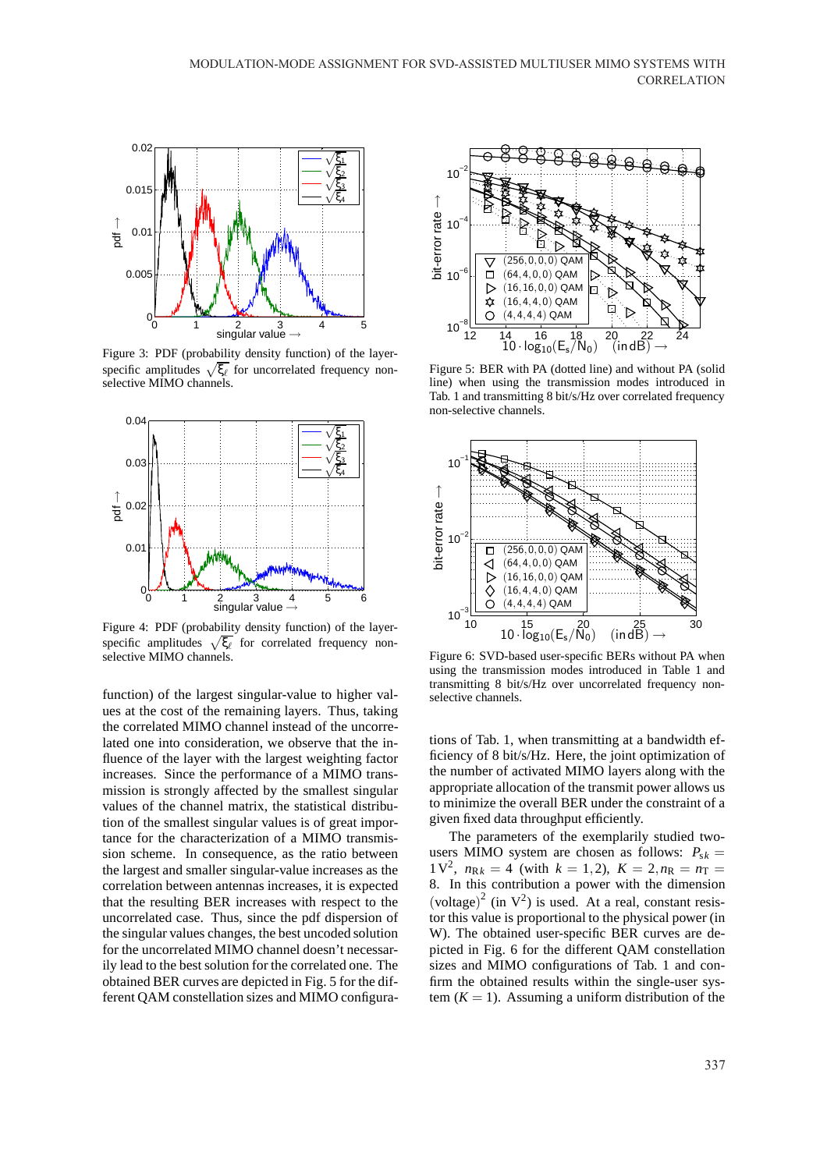

Figure 3: PDF (probability density function) of the layerspecific amplitudes  $\sqrt{\xi_\ell}$  for uncorrelated frequency nonselective MIMO channels.



Figure 4: PDF (probability density function) of the layerspecific amplitudes  $\sqrt{\xi_{\ell}}$  for correlated frequency nonselective MIMO channels.

function) of the largest singular-value to higher values at the cost of the remaining layers. Thus, taking the correlated MIMO channel instead of the uncorrelated one into consideration, we observe that the influence of the layer with the largest weighting factor increases. Since the performance of a MIMO transmission is strongly affected by the smallest singular values of the channel matrix, the statistical distribution of the smallest singular values is of great importance for the characterization of a MIMO transmission scheme. In consequence, as the ratio between the largest and smaller singular-value increases as the correlation between antennas increases, it is expected that the resulting BER increases with respect to the uncorrelated case. Thus, since the pdf dispersion of the singular values changes, the best uncoded solution for the uncorrelated MIMO channel doesn't necessarily lead to the best solution for the correlated one. The obtained BER curves are depicted in Fig. 5 for the different QAM constellation sizes and MIMO configura-



Figure 5: BER with PA (dotted line) and without PA (solid line) when using the transmission modes introduced in Tab. 1 and transmitting 8 bit/s/Hz over correlated frequency non-selective channels.



Figure 6: SVD-based user-specific BERs without PA when using the transmission modes introduced in Table 1 and transmitting 8 bit/s/Hz over uncorrelated frequency nonselective channels.

tions of Tab. 1, when transmitting at a bandwidth efficiency of 8 bit/s/Hz. Here, the joint optimization of the number of activated MIMO layers along with the appropriate allocation of the transmit power allows us to minimize the overall BER under the constraint of a given fixed data throughput efficiently.

The parameters of the exemplarily studied twousers MIMO system are chosen as follows:  $P_{sk}$  = 1 V<sup>2</sup>,  $n_{Rk} = 4$  (with  $k = 1, 2$ ),  $K = 2, n_{R} = n_{T} =$ 8. In this contribution a power with the dimension (voltage)<sup>2</sup> (in  $V^2$ ) is used. At a real, constant resistor this value is proportional to the physical power (in W). The obtained user-specific BER curves are depicted in Fig. 6 for the different QAM constellation sizes and MIMO configurations of Tab. 1 and confirm the obtained results within the single-user system  $(K = 1)$ . Assuming a uniform distribution of the